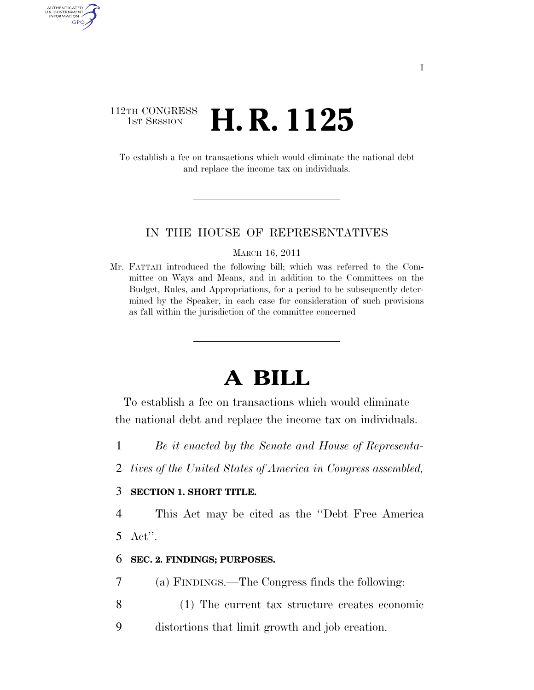### 112TH CONGRESS <sup>TH CONGRESS</sup> **H. R. 1125**

AUTHENTICATED U.S. GOVERNMENT GPO

> To establish a fee on transactions which would eliminate the national debt and replace the income tax on individuals.

### IN THE HOUSE OF REPRESENTATIVES

MARCH 16, 2011

Mr. FATTAH introduced the following bill; which was referred to the Committee on Ways and Means, and in addition to the Committees on the Budget, Rules, and Appropriations, for a period to be subsequently determined by the Speaker, in each case for consideration of such provisions as fall within the jurisdiction of the committee concerned

# **A BILL**

To establish a fee on transactions which would eliminate the national debt and replace the income tax on individuals.

- 1 *Be it enacted by the Senate and House of Representa-*
- 2 *tives of the United States of America in Congress assembled,*

### 3 **SECTION 1. SHORT TITLE.**

4 This Act may be cited as the ''Debt Free America 5 Act''.

### 6 **SEC. 2. FINDINGS; PURPOSES.**

7 (a) FINDINGS.—The Congress finds the following:

- 8 (1) The current tax structure creates economic
- 9 distortions that limit growth and job creation.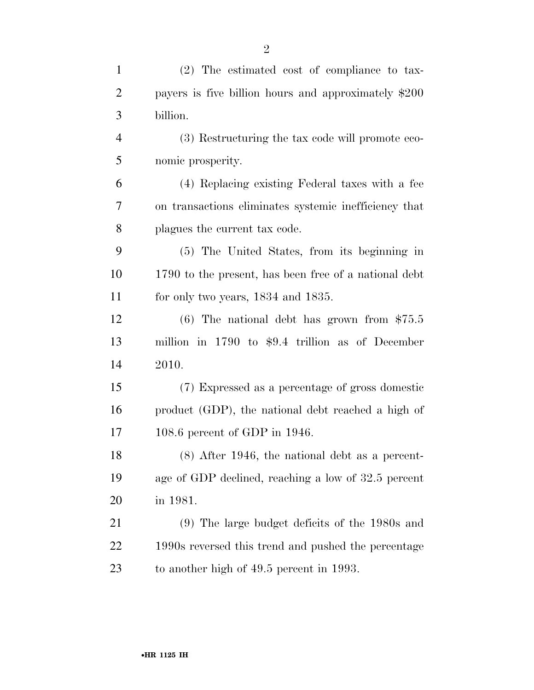| $\mathbf{1}$   | (2) The estimated cost of compliance to tax-          |
|----------------|-------------------------------------------------------|
| $\overline{2}$ | payers is five billion hours and approximately \$200  |
| 3              | billion.                                              |
| $\overline{4}$ | (3) Restructuring the tax code will promote eco-      |
| 5              | nomic prosperity.                                     |
| 6              | (4) Replacing existing Federal taxes with a fee       |
| 7              | on transactions eliminates systemic inefficiency that |
| 8              | plagues the current tax code.                         |
| 9              | (5) The United States, from its beginning in          |
| 10             | 1790 to the present, has been free of a national debt |
| 11             | for only two years, $1834$ and $1835$ .               |
| 12             | $(6)$ The national debt has grown from \$75.5         |
| 13             | million in $1790$ to \$9.4 trillion as of December    |
| 14             | 2010.                                                 |
| 15             | (7) Expressed as a percentage of gross domestic       |
| 16             | product (GDP), the national debt reached a high of    |
| 17             | 108.6 percent of GDP in $1946$ .                      |
| 18             | $(8)$ After 1946, the national debt as a percent-     |
| 19             | age of GDP declined, reaching a low of 32.5 percent   |
| 20             | in 1981.                                              |
| 21             | $(9)$ The large budget deficits of the 1980s and      |
| 22             | 1990s reversed this trend and pushed the percentage   |
| 23             | to another high of 49.5 percent in 1993.              |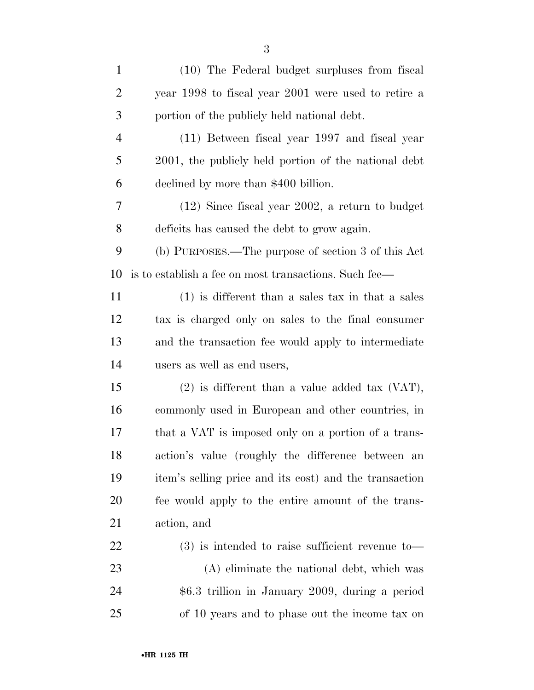| $\mathbf{1}$ | (10) The Federal budget surpluses from fiscal          |
|--------------|--------------------------------------------------------|
| 2            | year 1998 to fiscal year 2001 were used to retire a    |
| 3            | portion of the publicly held national debt.            |
| 4            | (11) Between fiscal year 1997 and fiscal year          |
| 5            | 2001, the publicly held portion of the national debt   |
| 6            | declined by more than \$400 billion.                   |
| 7            | $(12)$ Since fiscal year 2002, a return to budget      |
| 8            | deficits has caused the debt to grow again.            |
| 9            | (b) PURPOSES.—The purpose of section 3 of this Act     |
| 10           | is to establish a fee on most transactions. Such fee—  |
| 11           | $(1)$ is different than a sales tax in that a sales    |
| 12           | tax is charged only on sales to the final consumer     |
| 13           | and the transaction fee would apply to intermediate    |
| 14           | users as well as end users,                            |
| 15           | $(2)$ is different than a value added tax $(Var)$ ,    |
| 16           | commonly used in European and other countries, in      |
| 17           | that a VAT is imposed only on a portion of a trans-    |
| 18           | action's value (roughly the difference between an      |
| 19           | item's selling price and its cost) and the transaction |
| 20           | fee would apply to the entire amount of the trans-     |
| 21           | action, and                                            |
| 22           | $(3)$ is intended to raise sufficient revenue to-      |
| 23           | (A) eliminate the national debt, which was             |
| 24           | \$6.3 trillion in January 2009, during a period        |
| 25           | of 10 years and to phase out the income tax on         |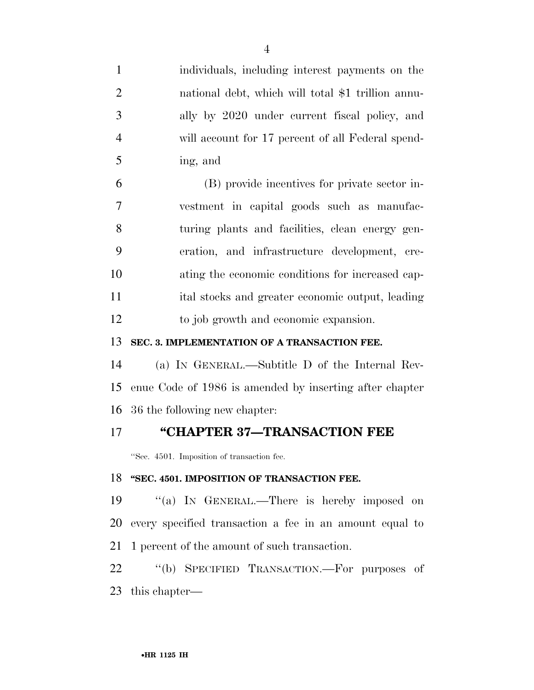individuals, including interest payments on the national debt, which will total \$1 trillion annu- ally by 2020 under current fiscal policy, and will account for 17 percent of all Federal spend- ing, and (B) provide incentives for private sector in- vestment in capital goods such as manufac- turing plants and facilities, clean energy gen- eration, and infrastructure development, cre- ating the economic conditions for increased cap- ital stocks and greater economic output, leading to job growth and economic expansion. **SEC. 3. IMPLEMENTATION OF A TRANSACTION FEE.**  (a) IN GENERAL.—Subtitle D of the Internal Rev-

 enue Code of 1986 is amended by inserting after chapter 36 the following new chapter:

### **''CHAPTER 37—TRANSACTION FEE**

''Sec. 4501. Imposition of transaction fee.

### **''SEC. 4501. IMPOSITION OF TRANSACTION FEE.**

19 "(a) IN GENERAL.—There is hereby imposed on every specified transaction a fee in an amount equal to 1 percent of the amount of such transaction.

22 "(b) SPECIFIED TRANSACTION.—For purposes of this chapter—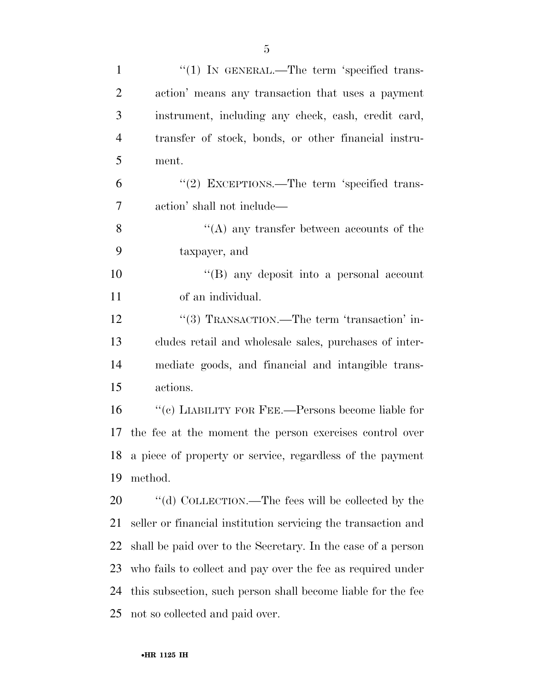| $\mathbf{1}$   | "(1) IN GENERAL.—The term 'specified trans-                   |
|----------------|---------------------------------------------------------------|
| $\overline{2}$ | action' means any transaction that uses a payment             |
| 3              | instrument, including any check, cash, credit card,           |
| $\overline{4}$ | transfer of stock, bonds, or other financial instru-          |
| 5              | ment.                                                         |
| 6              | "(2) EXCEPTIONS.—The term 'specified trans-                   |
| 7              | action' shall not include—                                    |
| 8              | "(A) any transfer between accounts of the                     |
| 9              | taxpayer, and                                                 |
| 10             | "(B) any deposit into a personal account                      |
| 11             | of an individual.                                             |
| 12             | "(3) TRANSACTION.—The term 'transaction' in-                  |
| 13             | cludes retail and wholesale sales, purchases of inter-        |
| 14             | mediate goods, and financial and intangible trans-            |
| 15             | actions.                                                      |
| 16             | "(c) LIABILITY FOR FEE.—Persons become liable for             |
| 17             | the fee at the moment the person exercises control over       |
|                | 18 a piece of property or service, regardless of the payment  |
| 19             | method.                                                       |
| 20             | "(d) COLLECTION.—The fees will be collected by the            |
| 21             | seller or financial institution servicing the transaction and |
| 22             | shall be paid over to the Secretary. In the case of a person  |
| 23             | who fails to collect and pay over the fee as required under   |
| 24             | this subsection, such person shall become liable for the fee  |
| 25             | not so collected and paid over.                               |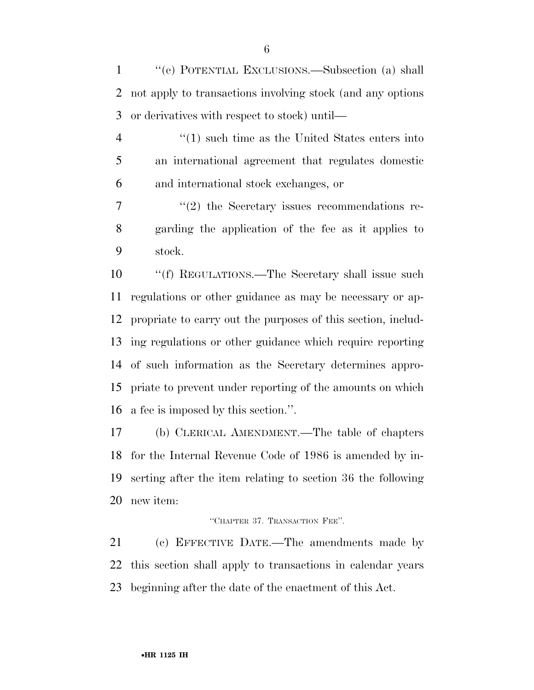''(e) POTENTIAL EXCLUSIONS.—Subsection (a) shall not apply to transactions involving stock (and any options or derivatives with respect to stock) until—

 ''(1) such time as the United States enters into an international agreement that regulates domestic and international stock exchanges, or

7  $\frac{1}{2}$  the Secretary issues recommendations re- garding the application of the fee as it applies to stock.

 ''(f) REGULATIONS.—The Secretary shall issue such regulations or other guidance as may be necessary or ap- propriate to carry out the purposes of this section, includ- ing regulations or other guidance which require reporting of such information as the Secretary determines appro- priate to prevent under reporting of the amounts on which a fee is imposed by this section.''.

 (b) CLERICAL AMENDMENT.—The table of chapters for the Internal Revenue Code of 1986 is amended by in- serting after the item relating to section 36 the following new item:

#### ''CHAPTER 37. TRANSACTION FEE''.

 (c) EFFECTIVE DATE.—The amendments made by this section shall apply to transactions in calendar years beginning after the date of the enactment of this Act.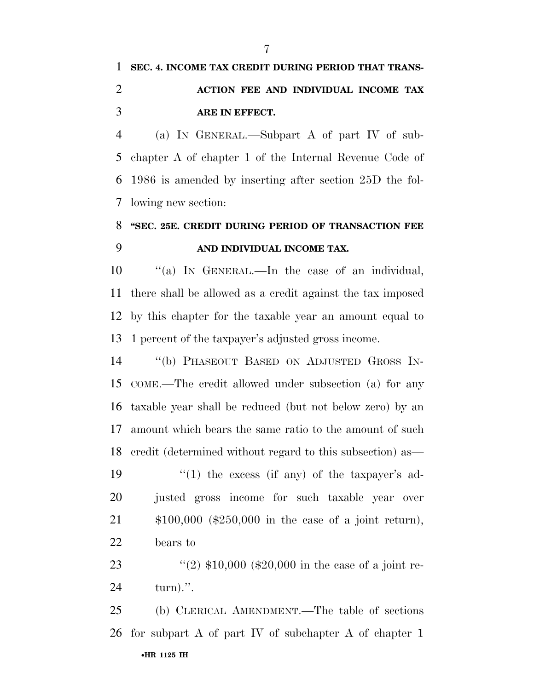# **SEC. 4. INCOME TAX CREDIT DURING PERIOD THAT TRANS- ACTION FEE AND INDIVIDUAL INCOME TAX ARE IN EFFECT.**

 (a) IN GENERAL.—Subpart A of part IV of sub- chapter A of chapter 1 of the Internal Revenue Code of 1986 is amended by inserting after section 25D the fol-lowing new section:

### **''SEC. 25E. CREDIT DURING PERIOD OF TRANSACTION FEE AND INDIVIDUAL INCOME TAX.**

 ''(a) IN GENERAL.—In the case of an individual, there shall be allowed as a credit against the tax imposed by this chapter for the taxable year an amount equal to 1 percent of the taxpayer's adjusted gross income.

 ''(b) PHASEOUT BASED ON ADJUSTED GROSS IN- COME.—The credit allowed under subsection (a) for any taxable year shall be reduced (but not below zero) by an amount which bears the same ratio to the amount of such credit (determined without regard to this subsection) as—

 $\frac{1}{2}$  (1) the excess (if any) of the taxpayer's ad- justed gross income for such taxable year over \$100,000 (\$250,000 in the case of a joint return), bears to

23 ''(2)  $$10,000$  (\$20,000 in the case of a joint re-turn).''.

•**HR 1125 IH** (b) CLERICAL AMENDMENT.—The table of sections for subpart A of part IV of subchapter A of chapter 1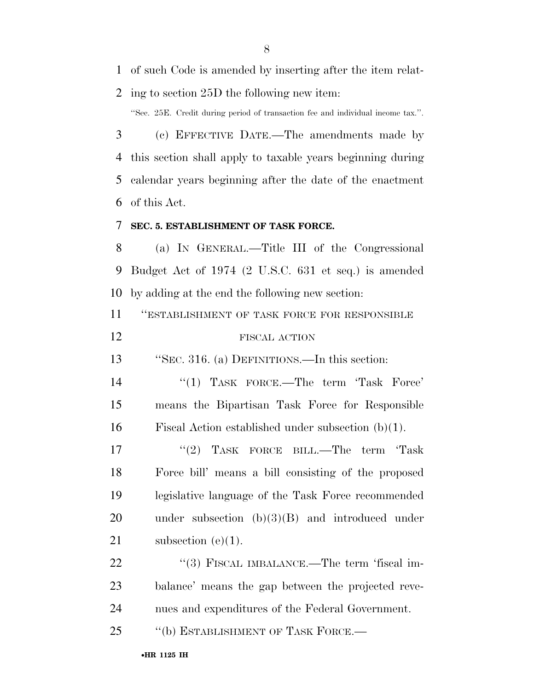of such Code is amended by inserting after the item relat-

ing to section 25D the following new item:

''Sec. 25E. Credit during period of transaction fee and individual income tax.''.

 (c) EFFECTIVE DATE.—The amendments made by this section shall apply to taxable years beginning during calendar years beginning after the date of the enactment of this Act.

### **SEC. 5. ESTABLISHMENT OF TASK FORCE.**

 (a) IN GENERAL.—Title III of the Congressional Budget Act of 1974 (2 U.S.C. 631 et seq.) is amended by adding at the end the following new section:

''ESTABLISHMENT OF TASK FORCE FOR RESPONSIBLE

### FISCAL ACTION

''SEC. 316. (a) DEFINITIONS.—In this section:

14 ''(1) TASK FORCE.—The term 'Task Force' means the Bipartisan Task Force for Responsible Fiscal Action established under subsection (b)(1).

17 ''(2) TASK FORCE BILL.—The term 'Task Force bill' means a bill consisting of the proposed legislative language of the Task Force recommended under subsection (b)(3)(B) and introduced under 21 subsection (e)(1).

22 ''(3) FISCAL IMBALANCE.—The term 'fiscal im- balance' means the gap between the projected reve-nues and expenditures of the Federal Government.

25 "(b) ESTABLISHMENT OF TASK FORCE.—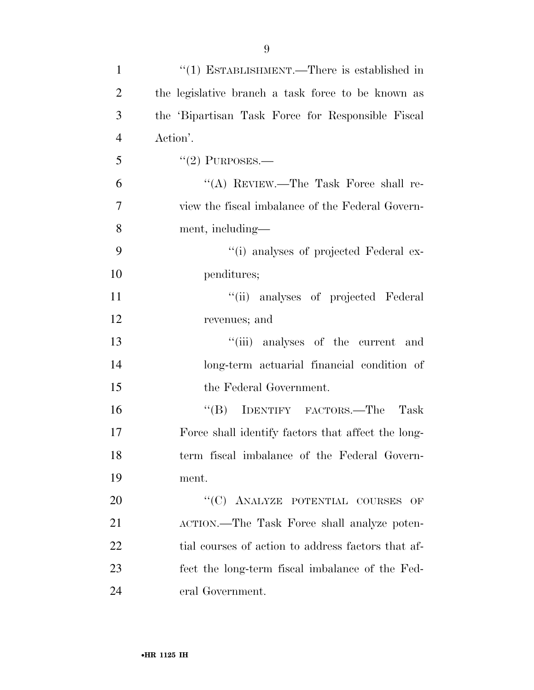| $\mathbf{1}$   | "(1) ESTABLISHMENT.—There is established in        |
|----------------|----------------------------------------------------|
| $\overline{2}$ | the legislative branch a task force to be known as |
| 3              | the 'Bipartisan Task Force for Responsible Fiscal  |
| $\overline{4}$ | Action'.                                           |
| 5              | $"(2)$ PURPOSES.—                                  |
| 6              | "(A) REVIEW.—The Task Force shall re-              |
| 7              | view the fiscal imbalance of the Federal Govern-   |
| 8              | ment, including—                                   |
| 9              | "(i) analyses of projected Federal ex-             |
| 10             | penditures;                                        |
| 11             | "(ii) analyses of projected Federal                |
| 12             | revenues; and                                      |
| 13             | "(iii) analyses of the current and                 |
| 14             | long-term actuarial financial condition of         |
| 15             | the Federal Government.                            |
| 16             | IDENTIFY FACTORS.—The<br>$\lq\lq (B)$<br>Task      |
| 17             | Force shall identify factors that affect the long- |
| 18             | term fiscal imbalance of the Federal Govern-       |
| 19             | ment.                                              |
| 20             | "(C) ANALYZE POTENTIAL COURSES<br>OF               |
| 21             | ACTION.-The Task Force shall analyze poten-        |
| 22             | tial courses of action to address factors that af- |
| 23             | fect the long-term fiscal imbalance of the Fed-    |
| 24             | eral Government.                                   |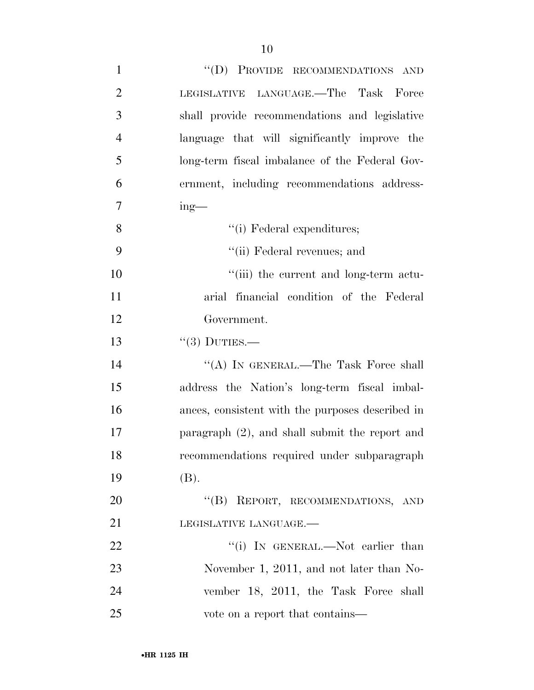| $\mathbf{1}$   | "(D) PROVIDE RECOMMENDATIONS AND                  |
|----------------|---------------------------------------------------|
| $\overline{2}$ | LEGISLATIVE LANGUAGE.—The Task Force              |
| 3              | shall provide recommendations and legislative     |
| $\overline{4}$ | language that will significantly improve the      |
| 5              | long-term fiscal imbalance of the Federal Gov-    |
| 6              | ernment, including recommendations address-       |
| 7              | $ing$ —                                           |
| 8              | "(i) Federal expenditures;                        |
| 9              | "(ii) Federal revenues; and                       |
| 10             | "(iii) the current and long-term actu-            |
| 11             | arial financial condition of the Federal          |
| 12             | Government.                                       |
| 13             | $\lq(3)$ DUTIES.—                                 |
| 14             | "(A) IN GENERAL.—The Task Force shall             |
| 15             | address the Nation's long-term fiscal imbal-      |
| 16             | ances, consistent with the purposes described in  |
| 17             | paragraph $(2)$ , and shall submit the report and |
| 18             | recommendations required under subparagraph       |
| 19             | (B).                                              |
| 20             | "(B) REPORT, RECOMMENDATIONS, AND                 |
| 21             | LEGISLATIVE LANGUAGE.-                            |
| 22             | "(i) IN GENERAL.—Not earlier than                 |
| 23             | November 1, 2011, and not later than No-          |
| 24             | vember 18, 2011, the Task Force shall             |
| 25             | vote on a report that contains—                   |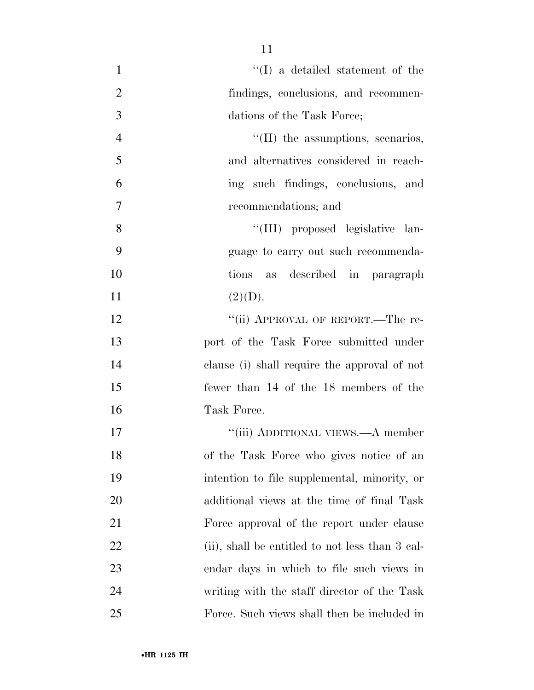| $\mathbf{1}$   | $\lq\lq$ (I) a detailed statement of the        |
|----------------|-------------------------------------------------|
| $\overline{2}$ | findings, conclusions, and recommen-            |
| 3              | dations of the Task Force;                      |
| $\overline{4}$ | $\lq\lq$ (II) the assumptions, scenarios,       |
| 5              | and alternatives considered in reach-           |
| 6              | ing such findings, conclusions, and             |
| 7              | recommendations; and                            |
| 8              | "(III) proposed legislative lan-                |
| 9              | guage to carry out such recommenda-             |
| 10             | tions as described in paragraph                 |
| 11             | (2)(D).                                         |
| 12             | "(ii) APPROVAL OF REPORT.—The re-               |
| 13             | port of the Task Force submitted under          |
| 14             | clause (i) shall require the approval of not    |
| 15             | fewer than 14 of the 18 members of the          |
| 16             | Task Force.                                     |
| 17             | "(iii) ADDITIONAL VIEWS.—A member               |
| 18             | of the Task Force who gives notice of an        |
| 19             | intention to file supplemental, minority, or    |
| 20             | additional views at the time of final Task      |
| 21             | Force approval of the report under clause       |
| 22             | (ii), shall be entitled to not less than 3 cal- |
| 23             | endar days in which to file such views in       |
| 24             | writing with the staff director of the Task     |
| 25             | Force. Such views shall then be included in     |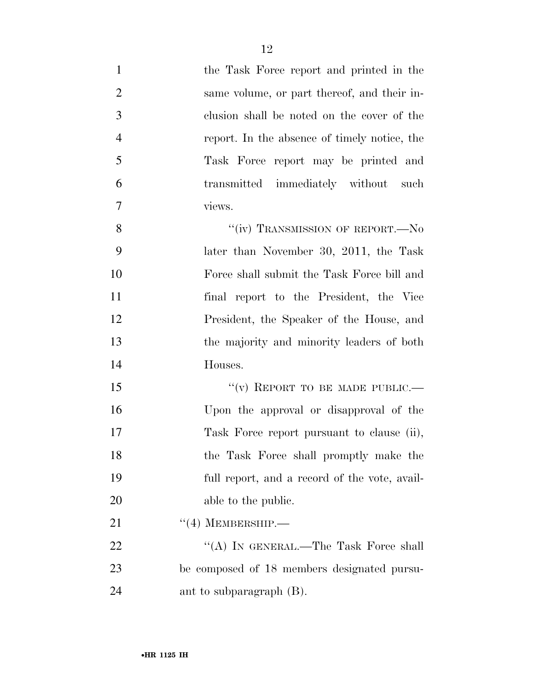| $\mathbf{1}$   | the Task Force report and printed in the      |
|----------------|-----------------------------------------------|
| $\overline{2}$ | same volume, or part thereof, and their in-   |
| 3              | clusion shall be noted on the cover of the    |
| $\overline{4}$ | report. In the absence of timely notice, the  |
| $\mathfrak{S}$ | Task Force report may be printed and          |
| 6              | transmitted immediately without such          |
| $\tau$         | views.                                        |
| 8              | "(iv) TRANSMISSION OF REPORT.—No              |
| 9              | later than November 30, 2011, the Task        |
| 10             | Force shall submit the Task Force bill and    |
| 11             | final report to the President, the Vice       |
| 12             | President, the Speaker of the House, and      |
| 13             | the majority and minority leaders of both     |
| 14             | Houses.                                       |
| 15             | "(v) REPORT TO BE MADE PUBLIC.—               |
| 16             | Upon the approval or disapproval of the       |
| 17             | Task Force report pursuant to clause (ii),    |
| 18             | the Task Force shall promptly make the        |
| 19             | full report, and a record of the vote, avail- |
| 20             | able to the public.                           |
| 21             | $\lq(4)$ MEMBERSHIP.—                         |
| 22             | "(A) IN GENERAL.—The Task Force shall         |
| 23             | be composed of 18 members designated pursu-   |
| 24             | ant to subparagraph (B).                      |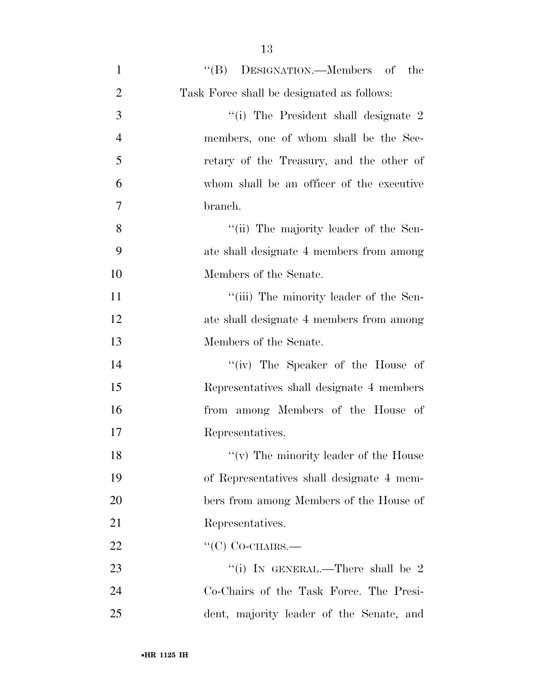| $\mathbf{1}$   | "(B) DESIGNATION.—Members of the           |
|----------------|--------------------------------------------|
| $\overline{2}$ | Task Force shall be designated as follows: |
| 3              | "(i) The President shall designate 2       |
| $\overline{4}$ | members, one of whom shall be the Sec-     |
| 5              | retary of the Treasury, and the other of   |
| 6              | whom shall be an officer of the executive  |
| 7              | branch.                                    |
| 8              | "(ii) The majority leader of the Sen-      |
| 9              | ate shall designate 4 members from among   |
| 10             | Members of the Senate.                     |
| 11             | "(iii) The minority leader of the Sen-     |
| 12             | ate shall designate 4 members from among   |
| 13             | Members of the Senate.                     |
| 14             | "(iv) The Speaker of the House of          |
| 15             | Representatives shall designate 4 members  |
| 16             | from among Members of the House of         |
| 17             | Representatives.                           |
| 18             | "(v) The minority leader of the House      |
| 19             | of Representatives shall designate 4 mem-  |
| 20             | bers from among Members of the House of    |
| 21             | Representatives.                           |
| 22             | $\lq\lq$ CO-CHAIRS.—                       |
| 23             | "(i) IN GENERAL.—There shall be $2$        |
| 24             | Co-Chairs of the Task Force. The Presi-    |
| 25             | dent, majority leader of the Senate, and   |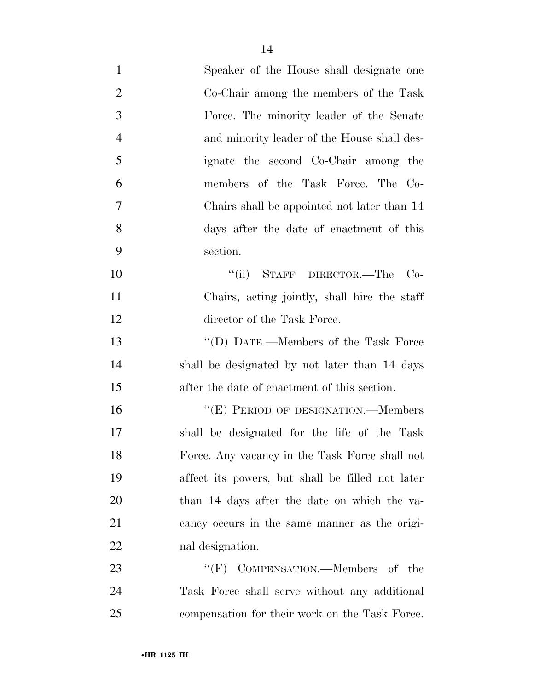| $\mathbf{1}$   | Speaker of the House shall designate one         |
|----------------|--------------------------------------------------|
| $\overline{2}$ | Co-Chair among the members of the Task           |
| 3              | Force. The minority leader of the Senate         |
| $\overline{4}$ | and minority leader of the House shall des-      |
| 5              | ignate the second Co-Chair among the             |
| 6              | members of the Task Force. The Co-               |
| 7              | Chairs shall be appointed not later than 14      |
| 8              | days after the date of enactment of this         |
| 9              | section.                                         |
| 10             | "(ii) STAFF DIRECTOR.—The<br>$Co-$               |
| 11             | Chairs, acting jointly, shall hire the staff     |
| 12             | director of the Task Force.                      |
| 13             | "(D) DATE.—Members of the Task Force             |
| 14             | shall be designated by not later than 14 days    |
| 15             | after the date of enactment of this section.     |
| 16             | "(E) PERIOD OF DESIGNATION.—Members              |
| 17             | shall be designated for the life of the Task     |
| 18             | Force. Any vacancy in the Task Force shall not   |
| 19             | affect its powers, but shall be filled not later |
| 20             | than 14 days after the date on which the va-     |
| 21             | cancy occurs in the same manner as the origi-    |
| 22             | nal designation.                                 |
| 23             | "(F) COMPENSATION.—Members of the                |
| 24             | Task Force shall serve without any additional    |
| 25             | compensation for their work on the Task Force.   |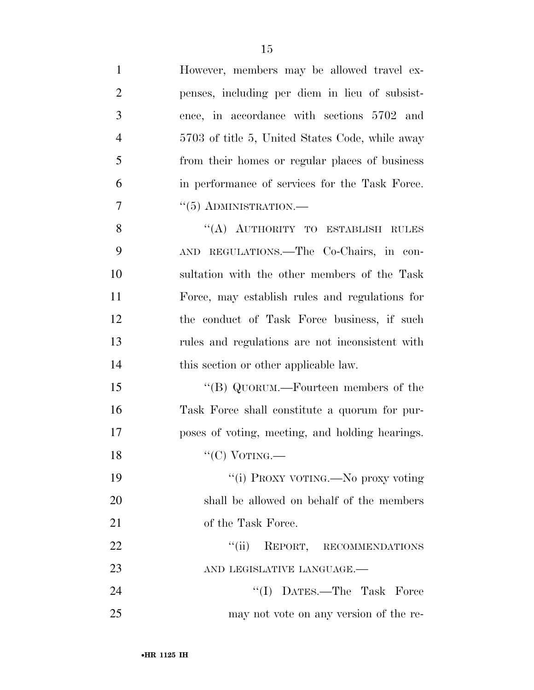| $\mathbf{1}$   | However, members may be allowed travel ex-      |
|----------------|-------------------------------------------------|
| $\overline{2}$ | penses, including per diem in lieu of subsist-  |
| 3              | ence, in accordance with sections 5702 and      |
| $\overline{4}$ | 5703 of title 5, United States Code, while away |
| 5              | from their homes or regular places of business  |
| 6              | in performance of services for the Task Force.  |
| 7              | $``(5)$ ADMINISTRATION.—                        |
| 8              | "(A) AUTHORITY TO ESTABLISH RULES               |
| 9              | AND REGULATIONS.—The Co-Chairs, in con-         |
| 10             | sultation with the other members of the Task    |
| 11             | Force, may establish rules and regulations for  |
| 12             | the conduct of Task Force business, if such     |
| 13             | rules and regulations are not inconsistent with |
| 14             | this section or other applicable law.           |
| 15             | "(B) QUORUM.—Fourteen members of the            |
| 16             | Task Force shall constitute a quorum for pur-   |
| 17             | poses of voting, meeting, and holding hearings. |
| 18             | " $(C)$ VOTING.—                                |
| 19             | "(i) PROXY VOTING.—No proxy voting              |
| 20             | shall be allowed on behalf of the members       |
| 21             | of the Task Force.                              |
| 22             | "(ii) REPORT, RECOMMENDATIONS                   |
| 23             | AND LEGISLATIVE LANGUAGE.-                      |
| 24             | "(I) DATES.—The Task Force                      |
| 25             | may not vote on any version of the re-          |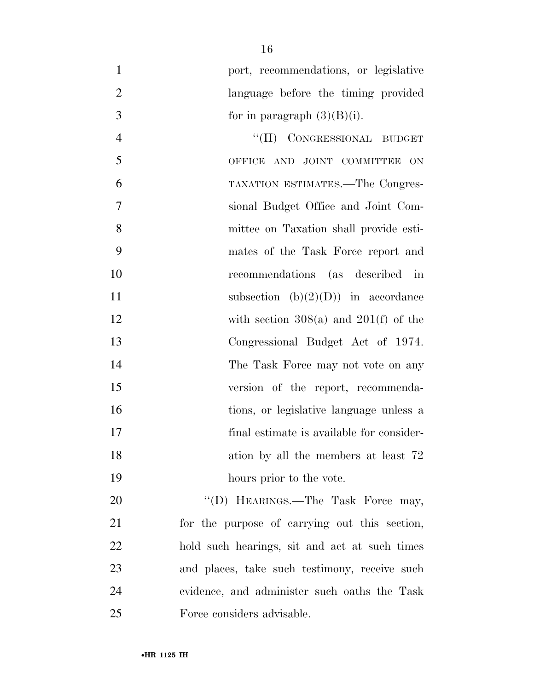| $\mathbf{1}$   | port, recommendations, or legislative         |
|----------------|-----------------------------------------------|
| $\overline{2}$ | language before the timing provided           |
| 3              | for in paragraph $(3)(B)(i)$ .                |
| $\overline{4}$ | "(II) CONGRESSIONAL BUDGET                    |
| 5              | OFFICE AND JOINT COMMITTEE ON                 |
| 6              | TAXATION ESTIMATES.—The Congres-              |
| 7              | sional Budget Office and Joint Com-           |
| 8              | mittee on Taxation shall provide esti-        |
| 9              | mates of the Task Force report and            |
| 10             | recommendations (as described in              |
| 11             | subsection $(b)(2)(D)$ in accordance          |
| 12             | with section $308(a)$ and $201(f)$ of the     |
| 13             | Congressional Budget Act of 1974.             |
| 14             | The Task Force may not vote on any            |
| 15             | version of the report, recommenda-            |
| 16             | tions, or legislative language unless a       |
| 17             | final estimate is available for consider-     |
| 18             | ation by all the members at least 72          |
| 19             | hours prior to the vote.                      |
| 20             | "(D) HEARINGS.—The Task Force may,            |
| 21             | for the purpose of carrying out this section, |
| $\cap$         | hold guab because at and get at guab times    |

 hold such hearings, sit and act at such times and places, take such testimony, receive such evidence, and administer such oaths the Task Force considers advisable.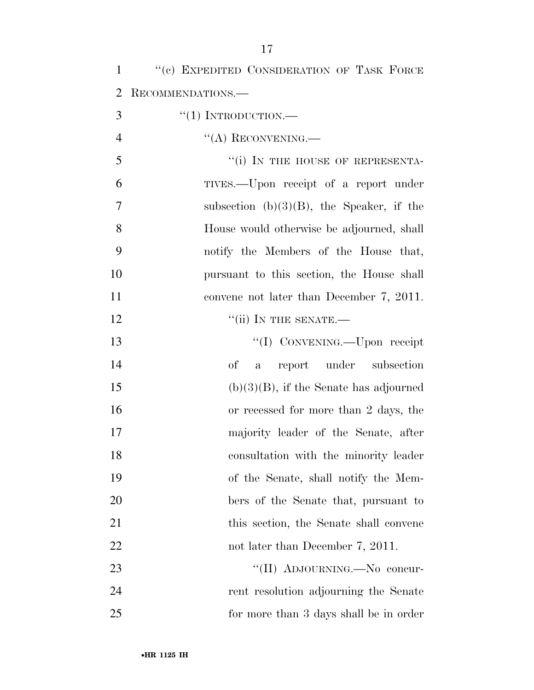| $\mathbf{1}$   | "(c) EXPEDITED CONSIDERATION OF TASK FORCE   |
|----------------|----------------------------------------------|
| $\overline{2}$ | RECOMMENDATIONS.—                            |
| 3              | $``(1)$ INTRODUCTION.—                       |
| $\overline{4}$ | $\lq\lq$ (A) RECONVENING.—                   |
| 5              | "(i) IN THE HOUSE OF REPRESENTA-             |
| 6              | TIVES.—Upon receipt of a report under        |
| $\overline{7}$ | subsection $(b)(3)(B)$ , the Speaker, if the |
| 8              | House would otherwise be adjourned, shall    |
| 9              | notify the Members of the House that,        |
| 10             | pursuant to this section, the House shall    |
| 11             | convene not later than December 7, 2011.     |
| 12             | $``$ (ii) IN THE SENATE.—                    |
| 13             | "(I) CONVENING.—Upon receipt                 |
| 14             | $\sigma f$<br>report under subsection<br>a   |
| 15             | $(b)(3)(B)$ , if the Senate has adjourned    |
| 16             | or recessed for more than 2 days, the        |
| 17             | majority leader of the Senate, after         |
| 18             | consultation with the minority leader        |
| 19             | of the Senate, shall notify the Mem-         |
| 20             | bers of the Senate that, pursuant to         |
| 21             | this section, the Senate shall convene       |
| 22             | not later than December 7, 2011.             |
| 23             | "(II) ADJOURNING.—No concur-                 |
| 24             | rent resolution adjourning the Senate        |
| 25             | for more than 3 days shall be in order       |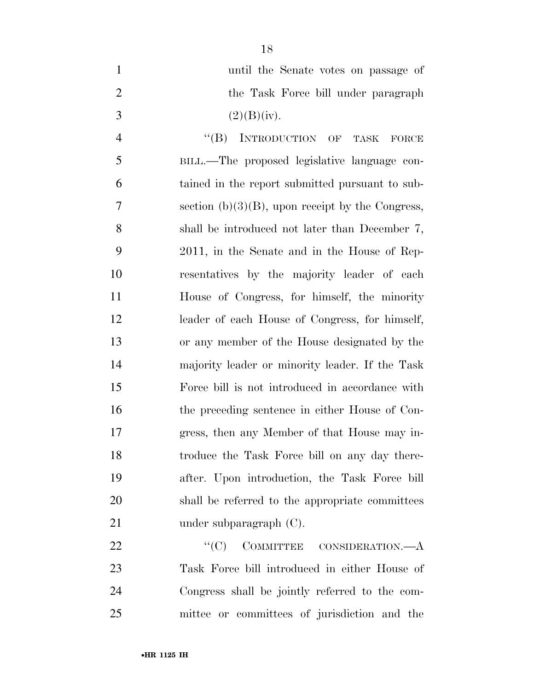| $\mathbf{1}$   | until the Senate votes on passage of                |
|----------------|-----------------------------------------------------|
| $\mathbf{2}$   | the Task Force bill under paragraph                 |
| 3              | (2)(B)(iv).                                         |
| $\overline{4}$ | $\lq\lq (B)$<br>INTRODUCTION OF TASK<br>FORCE       |
| 5              | BILL.—The proposed legislative language con-        |
| 6              | tained in the report submitted pursuant to sub-     |
| 7              | section $(b)(3)(B)$ , upon receipt by the Congress, |
| 8              | shall be introduced not later than December 7,      |
| 9              | 2011, in the Senate and in the House of Rep-        |
| 10             | resentatives by the majority leader of each         |
| 11             | House of Congress, for himself, the minority        |
| 12             | leader of each House of Congress, for himself,      |
| 13             | or any member of the House designated by the        |
| 14             | majority leader or minority leader. If the Task     |
| 15             | Force bill is not introduced in accordance with     |
| 16             | the preceding sentence in either House of Con-      |
| 17             | gress, then any Member of that House may in-        |
| 18             | troduce the Task Force bill on any day there-       |

 after. Upon introduction, the Task Force bill shall be referred to the appropriate committees 21 under subparagraph (C).

22 "'(C) COMMITTEE CONSIDERATION.—A Task Force bill introduced in either House of Congress shall be jointly referred to the com-mittee or committees of jurisdiction and the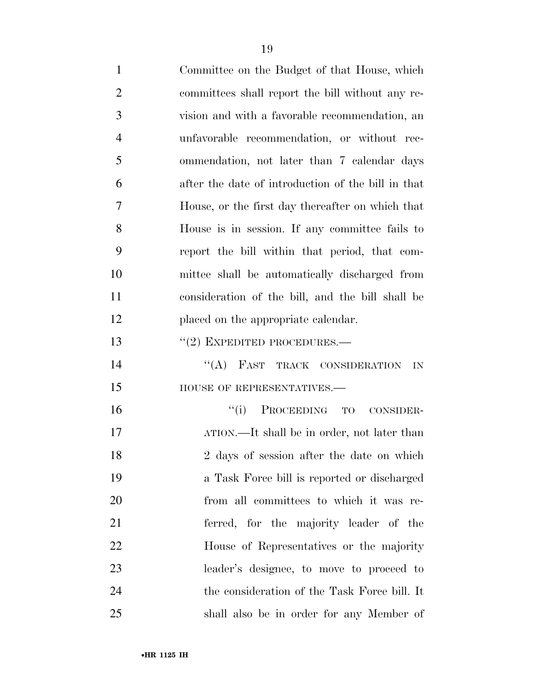| $\mathbf{1}$   | Committee on the Budget of that House, which       |
|----------------|----------------------------------------------------|
| $\overline{2}$ | committees shall report the bill without any re-   |
| 3              | vision and with a favorable recommendation, an     |
| $\overline{4}$ | unfavorable recommendation, or without rec-        |
| 5              | ommendation, not later than 7 calendar days        |
| 6              | after the date of introduction of the bill in that |
| 7              | House, or the first day thereafter on which that   |
| 8              | House is in session. If any committee fails to     |
| 9              | report the bill within that period, that com-      |
| 10             | mittee shall be automatically discharged from      |
| 11             | consideration of the bill, and the bill shall be   |
| 12             | placed on the appropriate calendar.                |
| 13             | $''(2)$ EXPEDITED PROCEDURES.—                     |
| 14             | "(A) FAST TRACK CONSIDERATION<br>IN                |
| 15             | HOUSE OF REPRESENTATIVES.-                         |
| 16             | ``(i)<br>PROCEEDING TO CONSIDER-                   |
| 17             | ATION.—It shall be in order, not later than        |
| 18             | 2 days of session after the date on which          |
| 19             | a Task Force bill is reported or discharged        |
| 20             | from all committees to which it was re-            |
| 21             | ferred, for the majority leader of the             |
| 22             | House of Representatives or the majority           |
| 23             | leader's designee, to move to proceed to           |
| 24             | the consideration of the Task Force bill. It       |
| 25             | shall also be in order for any Member of           |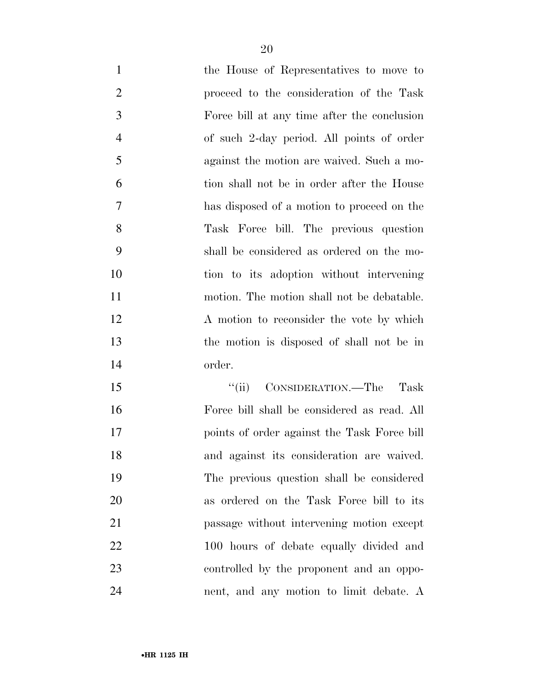| $\mathbf{1}$   | the House of Representatives to move to     |
|----------------|---------------------------------------------|
| $\overline{2}$ | proceed to the consideration of the Task    |
| 3              | Force bill at any time after the conclusion |
| $\overline{4}$ | of such 2-day period. All points of order   |
| 5              | against the motion are waived. Such a mo-   |
| 6              | tion shall not be in order after the House  |
| 7              | has disposed of a motion to proceed on the  |
| 8              | Task Force bill. The previous question      |
| 9              | shall be considered as ordered on the mo-   |
| 10             | tion to its adoption without intervening    |
| 11             | motion. The motion shall not be debatable.  |
| 12             | A motion to reconsider the vote by which    |
| 13             | the motion is disposed of shall not be in   |
| 14             | order.                                      |
| 15             | CONSIDERATION.—The<br>``(ii)<br>Task        |
| 16             | Force bill shall be considered as read. All |
| 17             | points of order against the Task Force bill |
| 18             | and against its consideration are waived.   |
| 19             | The previous question shall be considered   |
| 20             | as ordered on the Task Force bill to its    |
| 21             | passage without intervening motion except   |
| 22             | 100 hours of debate equally divided and     |
| 23             | controlled by the proponent and an oppo-    |
|                |                                             |

nent, and any motion to limit debate. A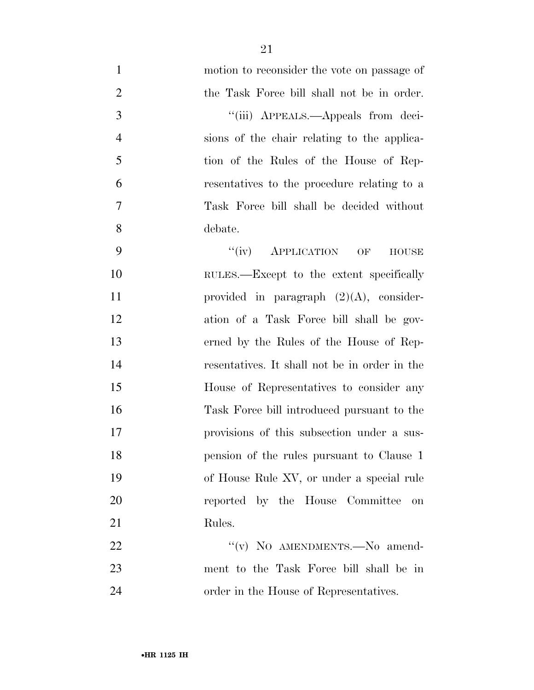| $\mathbf{1}$   | motion to reconsider the vote on passage of   |
|----------------|-----------------------------------------------|
| $\overline{2}$ | the Task Force bill shall not be in order.    |
| 3              | "(iii) APPEALS.—Appeals from deci-            |
| $\overline{4}$ | sions of the chair relating to the applica-   |
| 5              | tion of the Rules of the House of Rep-        |
| 6              | resentatives to the procedure relating to a   |
| $\tau$         | Task Force bill shall be decided without      |
| 8              | debate.                                       |
| 9              | $``(iv)$ APPLICATION OF<br><b>HOUSE</b>       |
| 10             | RULES.—Except to the extent specifically      |
| 11             | provided in paragraph $(2)(A)$ , consider-    |
| 12             | ation of a Task Force bill shall be gov-      |
| 13             | erned by the Rules of the House of Rep-       |
| 14             | resentatives. It shall not be in order in the |
| 15             | House of Representatives to consider any      |
| 16             | Task Force bill introduced pursuant to the    |
| 17             | provisions of this subsection under a sus-    |
| 18             | pension of the rules pursuant to Clause 1     |
| 19             | of House Rule XV, or under a special rule     |
| 20             | reported by the House Committee<br>on         |
| 21             | Rules.                                        |
| 22             | "(v) NO AMENDMENTS. No amend-                 |
| 23             | ment to the Task Force bill shall be in       |
| 24             | order in the House of Representatives.        |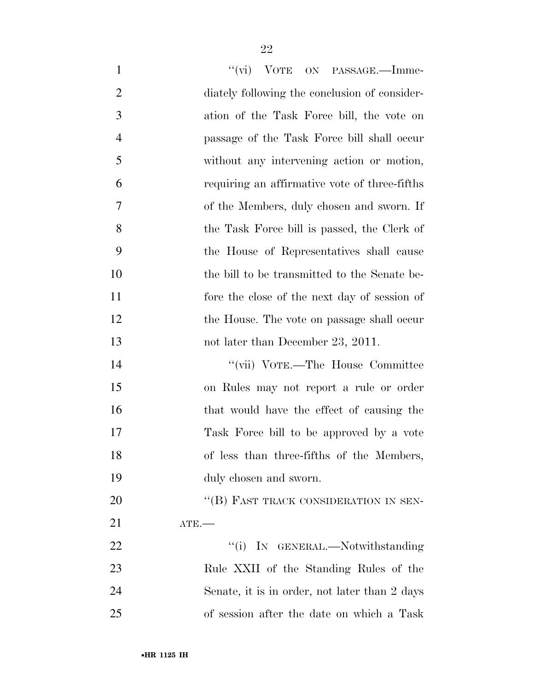| $\mathbf{1}$   | "(vi) VOTE ON PASSAGE.—Imme-                  |
|----------------|-----------------------------------------------|
| $\overline{2}$ | diately following the conclusion of consider- |
| 3              | ation of the Task Force bill, the vote on     |
| $\overline{4}$ | passage of the Task Force bill shall occur    |
| 5              | without any intervening action or motion,     |
| 6              | requiring an affirmative vote of three-fifths |
| 7              | of the Members, duly chosen and sworn. If     |
| 8              | the Task Force bill is passed, the Clerk of   |
| 9              | the House of Representatives shall cause      |
| 10             | the bill to be transmitted to the Senate be-  |
| 11             | fore the close of the next day of session of  |
| 12             | the House. The vote on passage shall occur    |
| 13             | not later than December 23, 2011.             |
| 14             | "(vii) VOTE.—The House Committee              |
| 15             | on Rules may not report a rule or order       |
| 16             | that would have the effect of causing the     |
| 17             | Task Force bill to be approved by a vote      |
| 18             | of less than three-fifths of the Members,     |
| 19             | duly chosen and sworn.                        |
| 20             | "(B) FAST TRACK CONSIDERATION IN SEN-         |
| 21             | $ATE$ —                                       |
| 22             | "(i) IN GENERAL.—Notwithstanding              |
| 23             | Rule XXII of the Standing Rules of the        |
| 24             | Senate, it is in order, not later than 2 days |
| 25             | of session after the date on which a Task     |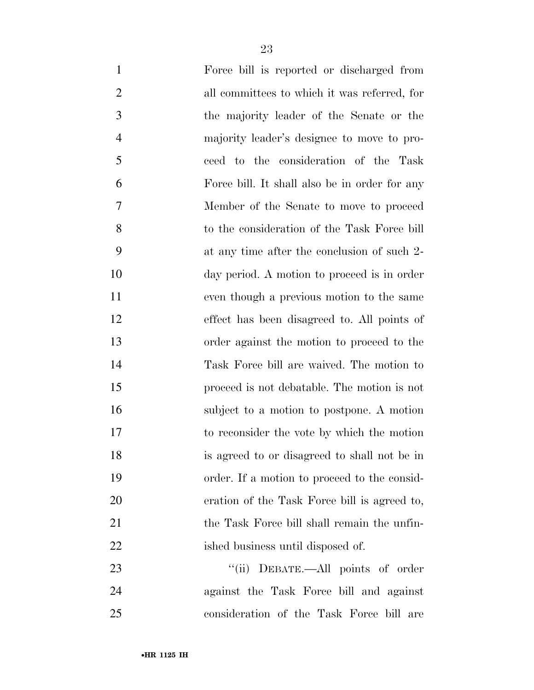| $\mathbf{1}$   | Force bill is reported or discharged from     |
|----------------|-----------------------------------------------|
| $\overline{2}$ | all committees to which it was referred, for  |
| 3              | the majority leader of the Senate or the      |
| $\overline{4}$ | majority leader's designee to move to pro-    |
| 5              | ceed to the consideration of the Task         |
| 6              | Force bill. It shall also be in order for any |
| 7              | Member of the Senate to move to proceed       |
| 8              | to the consideration of the Task Force bill   |
| 9              | at any time after the conclusion of such 2-   |
| 10             | day period. A motion to proceed is in order   |
| 11             | even though a previous motion to the same     |
| 12             | effect has been disagreed to. All points of   |
| 13             | order against the motion to proceed to the    |
| 14             | Task Force bill are waived. The motion to     |
| 15             | proceed is not debatable. The motion is not   |
| 16             | subject to a motion to postpone. A motion     |
| 17             | to reconsider the vote by which the motion    |
| 18             | is agreed to or disagreed to shall not be in  |
| 19             | order. If a motion to proceed to the consid-  |
| 20             | eration of the Task Force bill is agreed to,  |
| 21             | the Task Force bill shall remain the unfin-   |
| 22             | ished business until disposed of.             |
| 23             | "(ii) DEBATE.—All points of order             |
| 24             | against the Task Force bill and against       |
| 25             | consideration of the Task Force bill are      |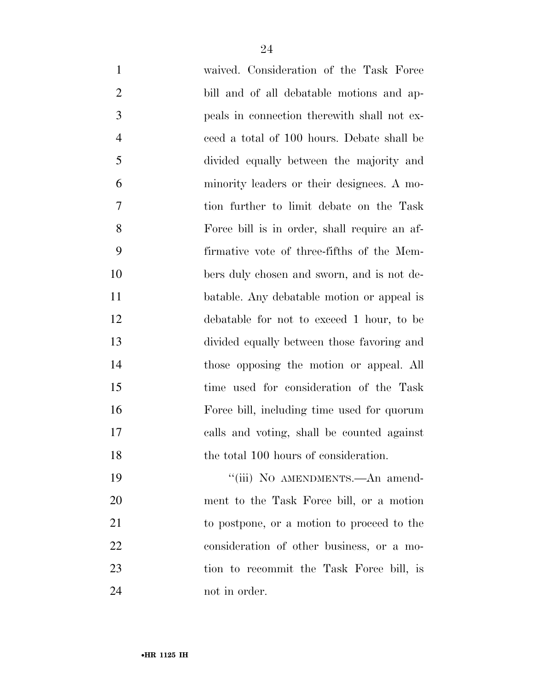| $\mathbf{1}$   | waived. Consideration of the Task Force      |
|----------------|----------------------------------------------|
| $\overline{2}$ | bill and of all debatable motions and ap-    |
| 3              | peals in connection therewith shall not ex-  |
| $\overline{4}$ | ceed a total of 100 hours. Debate shall be   |
| 5              | divided equally between the majority and     |
| 6              | minority leaders or their designees. A mo-   |
| 7              | tion further to limit debate on the Task     |
| 8              | Force bill is in order, shall require an af- |
| 9              | firmative vote of three-fifths of the Mem-   |
| 10             | bers duly chosen and sworn, and is not de-   |
| 11             | batable. Any debatable motion or appeal is   |
| 12             | debatable for not to exceed 1 hour, to be    |
| 13             | divided equally between those favoring and   |
| 14             | those opposing the motion or appeal. All     |
| 15             | time used for consideration of the Task      |
| 16             | Force bill, including time used for quorum   |
| 17             | calls and voting, shall be counted against   |
| 18             | the total 100 hours of consideration.        |
| 19             | "(iii) NO AMENDMENTS.—An amend-              |
| 20             | ment to the Task Force bill, or a motion     |
| 21             | to postpone, or a motion to proceed to the   |
| 22             | consideration of other business, or a mo-    |
| 23             | tion to recommit the Task Force bill, is     |
| 24             | not in order.                                |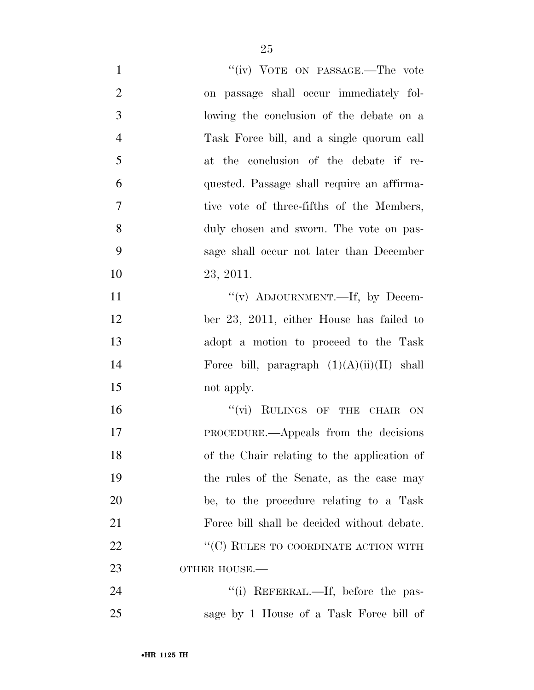| $\mathbf{1}$   | "(iv) VOTE ON PASSAGE.—The vote              |
|----------------|----------------------------------------------|
| $\overline{2}$ | on passage shall occur immediately fol-      |
| 3              | lowing the conclusion of the debate on a     |
| $\overline{4}$ | Task Force bill, and a single quorum call    |
| 5              | at the conclusion of the debate if re-       |
| 6              | quested. Passage shall require an affirma-   |
| $\tau$         | tive vote of three-fifths of the Members,    |
| 8              | duly chosen and sworn. The vote on pas-      |
| 9              | sage shall occur not later than December     |
| 10             | 23, 2011.                                    |
| 11             | "(v) ADJOURNMENT.—If, by Decem-              |
| 12             | ber 23, 2011, either House has failed to     |
| 13             | adopt a motion to proceed to the Task        |
| 14             | Force bill, paragraph $(1)(A)(ii)(II)$ shall |
| 15             | not apply.                                   |
| 16             | "(vi) RULINGS OF THE CHAIR ON                |
| 17             | <b>PROCEDURE.—Appeals from the decisions</b> |
| 18             | of the Chair relating to the application of  |
| 19             | the rules of the Senate, as the case may     |
| 20             | be, to the procedure relating to a Task      |
| 21             | Force bill shall be decided without debate.  |
| 22             | "(C) RULES TO COORDINATE ACTION WITH         |
| 23             | OTHER HOUSE.-                                |
| 24             | "(i) REFERRAL.—If, before the pas-           |
| 25             | sage by 1 House of a Task Force bill of      |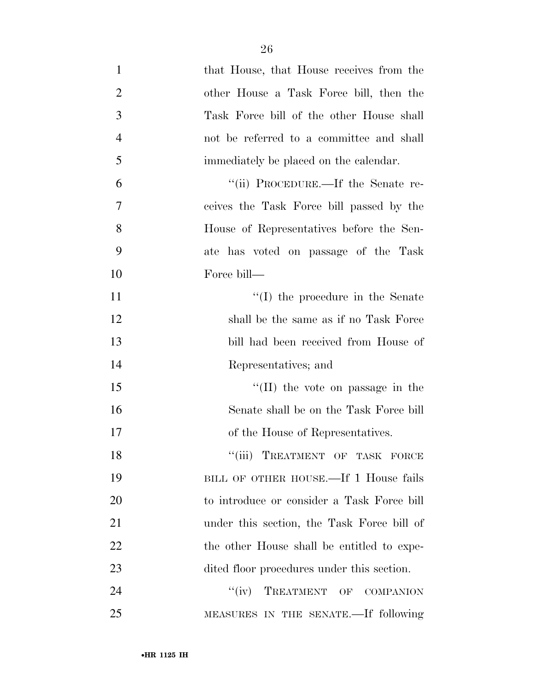| $\mathbf{1}$   | that House, that House receives from the   |
|----------------|--------------------------------------------|
| $\overline{2}$ | other House a Task Force bill, then the    |
| 3              | Task Force bill of the other House shall   |
| $\overline{4}$ | not be referred to a committee and shall   |
| 5              | immediately be placed on the calendar.     |
| 6              | "(ii) PROCEDURE.—If the Senate re-         |
| $\overline{7}$ | ceives the Task Force bill passed by the   |
| 8              | House of Representatives before the Sen-   |
| 9              | ate has voted on passage of the Task       |
| 10             | Force bill—                                |
| 11             | $\lq\lq$ (I) the procedure in the Senate   |
| 12             | shall be the same as if no Task Force      |
| 13             | bill had been received from House of       |
| 14             | Representatives; and                       |
| 15             | $\lq\lq$ (II) the vote on passage in the   |
| 16             | Senate shall be on the Task Force bill     |
| 17             | of the House of Representatives.           |
| 18             | "(iii) TREATMENT OF TASK FORCE             |
| 19             | BILL OF OTHER HOUSE.—If 1 House fails      |
| 20             | to introduce or consider a Task Force bill |
| 21             | under this section, the Task Force bill of |
| 22             | the other House shall be entitled to expe- |
| 23             | dited floor procedures under this section. |
| 24             | TREATMENT OF COMPANION<br>``(iv)           |
| 25             | MEASURES IN THE SENATE.—If following       |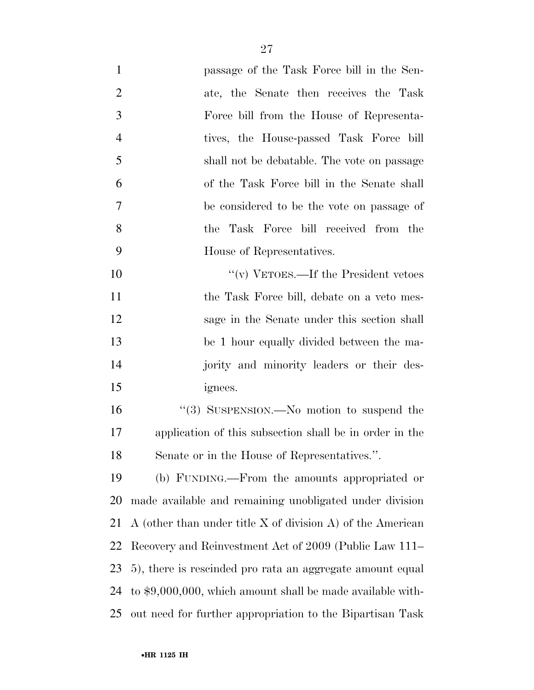| $\mathbf{1}$   | passage of the Task Force bill in the Sen-                      |
|----------------|-----------------------------------------------------------------|
| $\overline{2}$ | ate, the Senate then receives the Task                          |
| 3              | Force bill from the House of Representa-                        |
| $\overline{4}$ | tives, the House-passed Task Force bill                         |
| 5              | shall not be debatable. The vote on passage                     |
| 6              | of the Task Force bill in the Senate shall                      |
| 7              | be considered to be the vote on passage of                      |
| 8              | the Task Force bill received from the                           |
| 9              | House of Representatives.                                       |
| 10             | "(v) VETOES.—If the President vetoes                            |
| 11             | the Task Force bill, debate on a veto mes-                      |
| 12             | sage in the Senate under this section shall                     |
| 13             | be 1 hour equally divided between the ma-                       |
| 14             | jority and minority leaders or their des-                       |
| 15             | ignees.                                                         |
| 16             | "(3) SUSPENSION.—No motion to suspend the                       |
| 17             | application of this subsection shall be in order in the         |
| 18             | Senate or in the House of Representatives.".                    |
| 19             | (b) FUNDING.—From the amounts appropriated or                   |
| 20             | made available and remaining unobligated under division         |
| 21             | A (other than under title $X$ of division $A$ ) of the American |
| 22             | Recovery and Reinvestment Act of 2009 (Public Law 111–          |
| 23             | 5), there is rescinded pro rata an aggregate amount equal       |
| 24             | to $$9,000,000$ , which amount shall be made available with-    |
| 25             | out need for further appropriation to the Bipartisan Task       |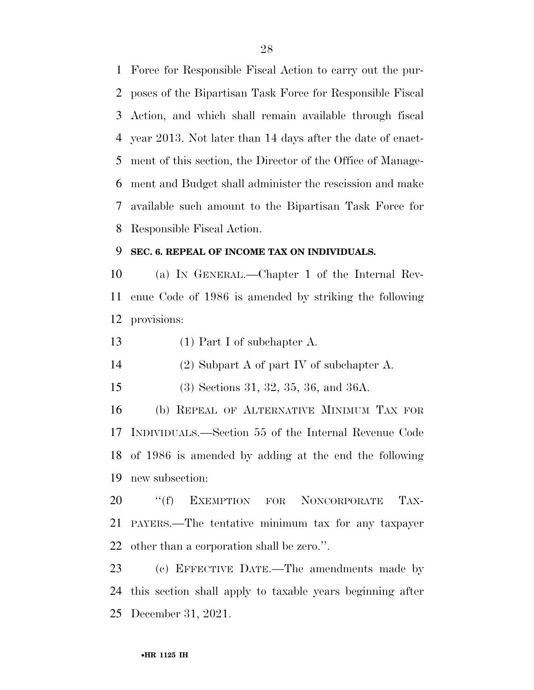Force for Responsible Fiscal Action to carry out the pur- poses of the Bipartisan Task Force for Responsible Fiscal Action, and which shall remain available through fiscal year 2013. Not later than 14 days after the date of enact- ment of this section, the Director of the Office of Manage- ment and Budget shall administer the rescission and make available such amount to the Bipartisan Task Force for Responsible Fiscal Action.

### **SEC. 6. REPEAL OF INCOME TAX ON INDIVIDUALS.**

 (a) IN GENERAL.—Chapter 1 of the Internal Rev- enue Code of 1986 is amended by striking the following provisions:

13 (1) Part I of subchapter A.

(2) Subpart A of part IV of subchapter A.

(3) Sections 31, 32, 35, 36, and 36A.

 (b) REPEAL OF ALTERNATIVE MINIMUM TAX FOR INDIVIDUALS.—Section 55 of the Internal Revenue Code of 1986 is amended by adding at the end the following new subsection:

20 "(f) EXEMPTION FOR NONCORPORATE TAX- PAYERS.—The tentative minimum tax for any taxpayer other than a corporation shall be zero.''.

 (c) EFFECTIVE DATE.—The amendments made by this section shall apply to taxable years beginning after December 31, 2021.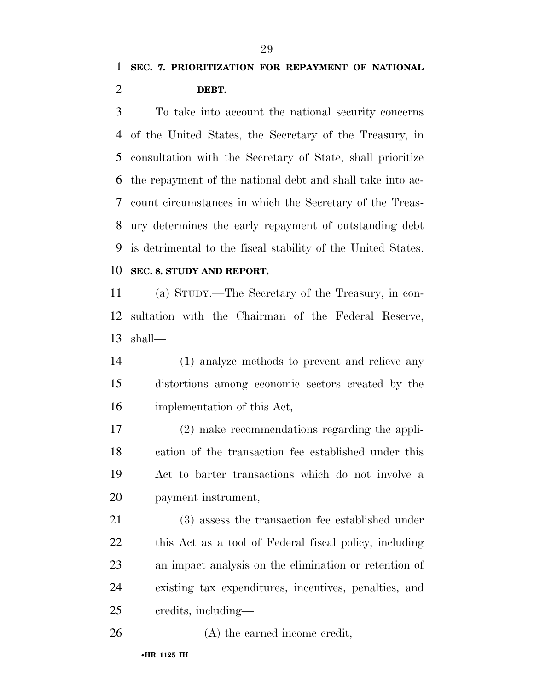## **SEC. 7. PRIORITIZATION FOR REPAYMENT OF NATIONAL DEBT.**

 To take into account the national security concerns of the United States, the Secretary of the Treasury, in consultation with the Secretary of State, shall prioritize the repayment of the national debt and shall take into ac- count circumstances in which the Secretary of the Treas- ury determines the early repayment of outstanding debt is detrimental to the fiscal stability of the United States.

### **SEC. 8. STUDY AND REPORT.**

 (a) STUDY.—The Secretary of the Treasury, in con- sultation with the Chairman of the Federal Reserve, shall—

 (1) analyze methods to prevent and relieve any distortions among economic sectors created by the implementation of this Act,

 (2) make recommendations regarding the appli- cation of the transaction fee established under this Act to barter transactions which do not involve a payment instrument,

 (3) assess the transaction fee established under this Act as a tool of Federal fiscal policy, including an impact analysis on the elimination or retention of existing tax expenditures, incentives, penalties, and credits, including—

26 (A) the earned income credit,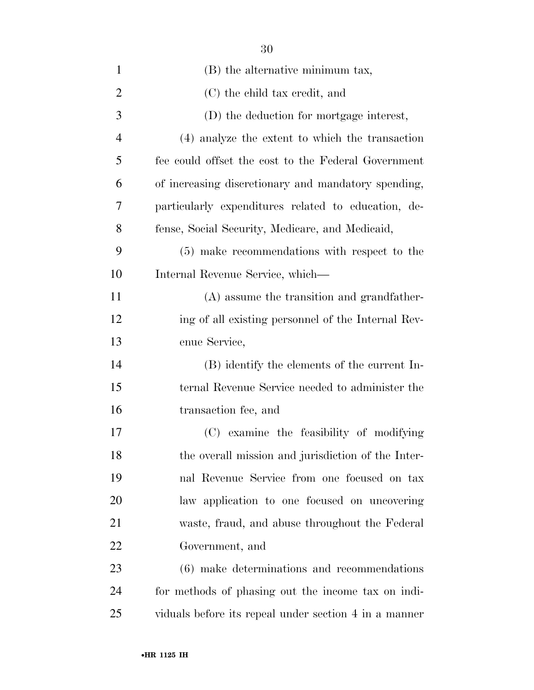| $\mathbf{1}$   | (B) the alternative minimum tax,                      |
|----------------|-------------------------------------------------------|
| $\overline{2}$ | (C) the child tax credit, and                         |
| 3              | (D) the deduction for mortgage interest,              |
| $\overline{4}$ | (4) analyze the extent to which the transaction       |
| 5              | fee could offset the cost to the Federal Government   |
| 6              | of increasing discretionary and mandatory spending,   |
| 7              | particularly expenditures related to education, de-   |
| 8              | fense, Social Security, Medicare, and Medicaid,       |
| 9              | (5) make recommendations with respect to the          |
| 10             | Internal Revenue Service, which—                      |
| 11             | (A) assume the transition and grandfather-            |
| 12             | ing of all existing personnel of the Internal Rev-    |
| 13             | enue Service,                                         |
| 14             | (B) identify the elements of the current In-          |
| 15             | ternal Revenue Service needed to administer the       |
| 16             | transaction fee, and                                  |
| 17             | (C) examine the feasibility of modifying              |
| 18             | the overall mission and jurisdiction of the Inter-    |
| 19             | nal Revenue Service from one focused on tax           |
| 20             | law application to one focused on uncovering          |
| 21             | waste, fraud, and abuse throughout the Federal        |
| 22             | Government, and                                       |
| 23             | (6) make determinations and recommendations           |
| 24             | for methods of phasing out the income tax on indi-    |
| 25             | viduals before its repeal under section 4 in a manner |